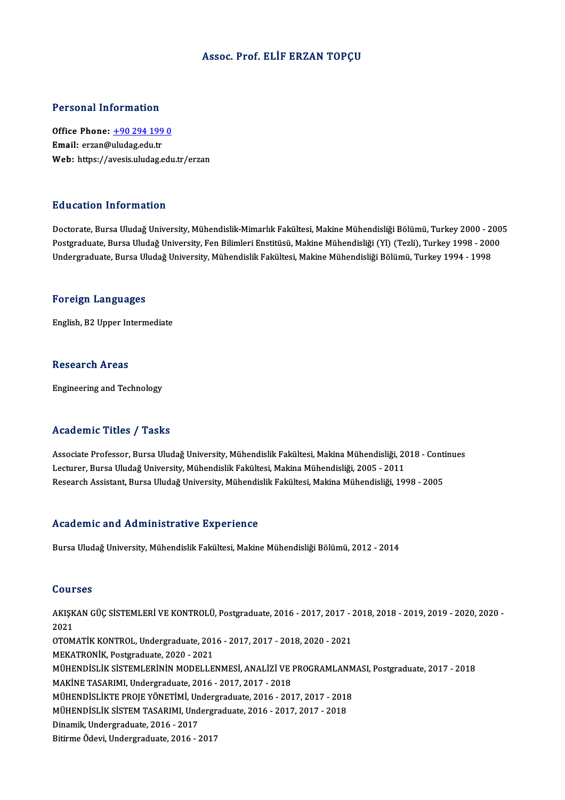### Assoc. Prof. ELİF ERZAN TOPÇU

#### Personal Information

Personal Information<br>Office Phone: <u>+90 294 199 0</u><br>Email: erran@uludes.edu.tr Processing information<br>Office Phone: <u>+90 294 199</u><br>Email: erzan@[uludag.edu.tr](tel:+90 294 199 0) Email: erzan@uludag.edu.tr<br>Web: https://avesis.uludag.edu.tr/erzan

#### Education Information

Doctorate, Bursa Uludağ University, Mühendislik-Mimarlık Fakültesi, Makine Mühendisliği Bölümü, Turkey 2000 - 2005 Pu u sutrom minominucion<br>Doctorate, Bursa Uludağ University, Mühendislik-Mimarlık Fakültesi, Makine Mühendisliği Bölümü, Turkey 2000 - 200<br>Indergraduate, Bursa Uludağ University, Fen Bilimleri Enstitüsü, Makine Mühendisliğ Doctorate, Bursa Uludağ University, Mühendislik-Mimarlık Fakültesi, Makine Mühendisliği Bölümü, Turkey 2000 - 2<br>Postgraduate, Bursa Uludağ University, Fen Bilimleri Enstitüsü, Makine Mühendisliği (Yl) (Tezli), Turkey 1998 Undergraduate, Bursa Uludağ University, Mühendislik Fakültesi, Makine Mühendisliği Bölümü, Turkey 1994 - 1998<br>Foreign Languages

English,B2Upper Intermediate

#### **Research Areas**

Engineering and Technology

### Academic Titles / Tasks

Academic Titles / Tasks<br>Associate Professor, Bursa Uludağ University, Mühendislik Fakültesi, Makina Mühendisliği, 2018 - Continues<br>Lesturer, Bursa Uludağ University, Mühendislik Fakültesi, Makina Mühendisliği, 2005 - 2011 Lecturer, Lecturer, Lecturer, Lecturer, Mühendislik Fakültesi, Makina Mühendisliği, 20<br>Lecturer, Bursa Uludağ University, Mühendislik Fakültesi, Makina Mühendisliği, 2005 - 2011<br>Besearsk Assistant, Bursa Uludağ University, Associate Professor, Bursa Uludağ University, Mühendislik Fakültesi, Makina Mühendisliği, 2018 - Conti<br>Lecturer, Bursa Uludağ University, Mühendislik Fakültesi, Makina Mühendisliği, 2005 - 2011<br>Research Assistant, Bursa Ul Research Assistant, Bursa Uludağ University, Mühendislik Fakültesi, Makina Mühendisliği, 1998 - 2005<br>Academic and Administrative Experience

Bursa Uludağ University, Mühendislik Fakültesi, Makine Mühendisliği Bölümü, 2012 - 2014

#### Courses

Courses<br>AKIŞKAN GÜÇ SİSTEMLERİ VE KONTROLÜ, Postgraduate, 2016 - 2017, 2017 - 2018, 2018 - 2019, 2019 - 2020, 2020 -<br>2021 2021<br>AKIŞK<br>2021 AKIŞKAN GÜÇ SİSTEMLERİ VE KONTROLÜ, Postgraduate, 2016 - 2017, 2017 - 2<br>2021<br>OTOMATİK KONTROL, Undergraduate, 2016 - 2017, 2017 - 2018, 2020 - 2021<br>MEKATRONİK, Postgraduate, 2020, 2021 2021<br>OTOMATİK KONTROL, Undergraduate, 201<br>MEKATRONİK, Postgraduate, 2020 - 2021<br>MÜHENDİSLİK SİSTEMI ERİNİN MODELLE OTOMATİK KONTROL, Undergraduate, 2016 - 2017, 2017 - 2018, 2020 - 2021<br>MEKATRONİK, Postgraduate, 2020 - 2021<br>MÜHENDİSLİK SİSTEMLERİNİN MODELLENMESİ, ANALİZİ VE PROGRAMLANMASI, Postgraduate, 2017 - 2018<br>MAKİNE TASARIMI Unde MEKATRONİK, Postgraduate, 2020 - 2021<br>MÜHENDİSLİK SİSTEMLERİNİN MODELLENMESİ, ANALİZİ VE I<br>MAKİNE TASARIMI, Undergraduate, 2016 - 2017, 2017 - 2018<br>MÜHENDİSLİKTE PROJE VÖNETİMİ, Undergraduate, 2016 - 201 MÜHENDİSLİK SİSTEMLERİNİN MODELLENMESİ, ANALİZİ VE PROGRAMLANM<br>MAKİNE TASARIMI, Undergraduate, 2016 - 2017, 2017 - 2018<br>MÜHENDİSLİKTE PROJE YÖNETİMİ, Undergraduate, 2016 - 2017, 2017 - 2018<br>MÜHENDİSLİKTE PROJE YÖNETİMI, Un MAKİNE TASARIMI, Undergraduate, 2016 - 2017, 2017 - 2018<br>MÜHENDİSLİKTE PROJE YÖNETİMİ, Undergraduate, 2016 - 2017, 2017 - 2018<br>MÜHENDİSLİK SİSTEM TASARIMI, Undergraduate, 2016 - 2017, 2017 - 2018<br>Dinamik Undergraduata, 201 MÜHENDİSLİKTE PROJE YÖNETİMİ, Un<br>MÜHENDİSLİK SİSTEM TASARIMI, Und<br>Dinamik, Undergraduate, 2016 - 2017<br>Bitirme Ödevi, Undergraduate, 2016 MÜHENDİSLİK SİSTEM TASARIMI, Undergraduate, 2016 - 2017, 2017 - 2018<br>Dinamik, Undergraduate, 2016 - 2017<br>Bitirme Ödevi, Undergraduate, 2016 - 2017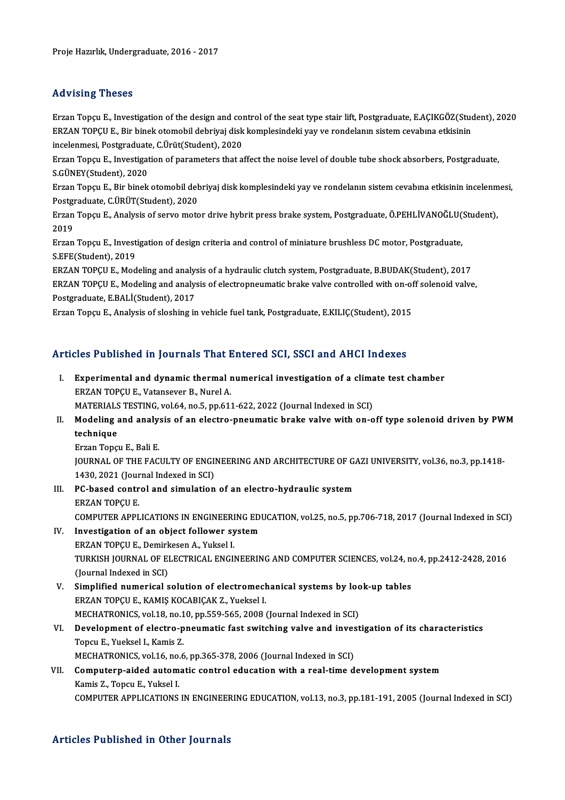### Advising Theses

Advising Theses<br>Erzan Topçu E., Investigation of the design and control of the seat type stair lift, Postgraduate, E.AÇIKGÖZ(Student), 2020<br>ERZAN TORCU E. Pir binek etemebil debrivai diek kemplesindeki vay ve rendelanın si Erzan Topçu E., Investigation of the design and control of the seat type stair lift, Postgraduate, E.AÇIKGÖZ(Stud<br>ERZAN TOPÇU E., Bir binek otomobil debriyaj disk komplesindeki yay ve rondelanın sistem cevabına etkisinin<br>İ Erzan Topçu E., Investigation of the design and contract and Top Control Control of the design and control of the includent), 2020<br>Incelenmesi, Postgraduate, C.Ürüt(Student), 2020<br>Erzan Topau E. Investigation of parameters incelenmesi, Postgraduate, C.Ürüt(Student), 2020

ERZAN TOPÇU E., Bir binek otomobil debriyaj disk komplesindeki yay ve rondelanın sistem cevabına etkisinin<br>incelenmesi, Postgraduate, C.Ürüt(Student), 2020<br>Erzan Topçu E., Investigation of parameters that affect the noise

Erzan Topçu E., Bir binek otomobil debriyaj disk komplesindeki yay ve rondelanın sistem cevabına etkisinin incelenmesi, S.GÜNEY(Student), 2020<br>Erzan Topçu E., Bir binek otomobil del<br>Postgraduate, C.ÜRÜT(Student), 2020<br>Erzan Tongu E. Anglysis of sonyo moto Erzan Topçu E., Bir binek otomobil debriyaj disk komplesindeki yay ve rondelanın sistem cevabına etkisinin incelenm<br>Postgraduate, C.ÜRÜT(Student), 2020<br>Erzan Topçu E., Analysis of servo motor drive hybrit press brake syste

Postgi<br>Erzan<br>2019<br>Erzan Erzan Topçu E., Analysis of servo motor drive hybrit press brake system, Postgraduate, Ö.PEHLİVANOĞLU(<br>2019<br>Erzan Topçu E., Investigation of design criteria and control of miniature brushless DC motor, Postgraduate,<br>S.EEE(

2019<br>Erzan Topçu E., Investigation of design criteria and control of miniature brushless DC motor, Postgraduate,<br>S.EFE(Student), 2019 Erzan Topçu E., Investigation of design criteria and control of miniature brushless DC motor, Postgraduate,<br>S.EFE(Student), 2019<br>ERZAN TOPÇU E., Modeling and analysis of a hydraulic clutch system, Postgraduate, B.BUDAK(Stu

S.EFE(Student), 2019<br>ERZAN TOPÇU E., Modeling and analysis of a hydraulic clutch system, Postgraduate, B.BUDAK(Student), 2017<br>ERZAN TOPÇU E., Modeling and analysis of electropneumatic brake valve controlled with on-off sol ERZAN TOPÇU E., Modeling and analy:<br>ERZAN TOPÇU E., Modeling and analy:<br>Postgraduate, E.BALİ(Student), 2017<br>Erzan Tangu E. Analysis of alashing in ERZAN TOPÇU E., Modeling and analysis of electropneumatic brake valve controlled with on-off solenoid valve,<br>Postgraduate, E.BALİ(Student), 2017<br>Erzan Topçu E., Analysis of sloshing in vehicle fuel tank, Postgraduate, E.KI

### Articles Published in Journals That Entered SCI, SSCI and AHCI Indexes

- rticles Published in Journals That Entered SCI, SSCI and AHCI Indexes<br>I. Experimental and dynamic thermal numerical investigation of a climate test chamber<br>ERZAN TORCUE Vetenseyer B. Nurel A Experimental and dynamic thermal<br>ERZAN TOPÇU E., Vatansever B., Nurel A.<br>MATERIALS TESTING vol 64 no 5 nn 61. Experimental and dynamic thermal numerical investigation of a climate SEZAN TOPCU E., Vatansever B., Nurel A.<br>MATERIALS TESTING, vol.64, no.5, pp.611-622, 2022 (Journal Indexed in SCI)<br>Modeling and analysis of an alastro p
- ERZAN TOPÇU E., Vatansever B., Nurel A.<br>MATERIALS TESTING, vol.64, no.5, pp.611-622, 2022 (Journal Indexed in SCI)<br>II. Modeling and analysis of an electro-pneumatic brake valve with on-off type solenoid driven by PWM<br>techn MATERIALS<br>Modeling<br>technique<br>Erren Tenes Modeling and analy:<br>technique<br>Erzan Topçu E., Bali E.<br>JOUPMAL OF THE EAC

technique<br>Erzan Topçu E., Bali E.<br>JOURNAL OF THE FACULTY OF ENGINEERING AND ARCHITECTURE OF GAZI UNIVERSITY, vol.36, no.3, pp.1418-<br>1420, 2021 (Journal Indoved in SCI) Erzan Topçu E., Bali E.<br>JOURNAL OF THE FACULTY OF ENGII<br>1430, 2021 (Journal Indexed in SCI)<br>PC based sentrel and simulation JOURNAL OF THE FACULTY OF ENGINEERING AND ARCHITECTURE OF G.<br>1430, 2021 (Journal Indexed in SCI)<br>III. PC-based control and simulation of an electro-hydraulic system<br>FPZAN TOPCU E

- 1430, 2021 (Journal Indexed in SCI)<br>III. PC-based control and simulation of an electro-hydraulic system<br>ERZAN TOPÇU E. COMPUTERAPPLICATIONS INENGINEERINGEDUCATION,vol.25,no.5,pp.706-718,2017 (Journal Indexed inSCI)
- IV. Investigation of an object follower system COMPUTER APPLICATIONS IN ENGINEERI<br>Investigation of an object follower sy<br>ERZAN TOPÇU E., Demirkesen A., Yuksel I.<br>TURKISH JOURNAL OF ELECTRICAL ENGU TURKISH JOURNAL OF ELECTRICAL ENGINEERING AND COMPUTER SCIENCES, vol.24, no.4, pp.2412-2428, 2016<br>(Journal Indexed in SCI) ERZAN TOPÇU E., Demirk<br>TURKISH JOURNAL OF EI<br>(Journal Indexed in SCI)<br>Simplified numerisel s TURKISH JOURNAL OF ELECTRICAL ENGINEERING AND COMPUTER SCIENCES, vol.24, no<br>(Journal Indexed in SCI)<br>V. Simplified numerical solution of electromechanical systems by look-up tables<br>EPZAN TOPCU E. KAMIS KOCAPICAK Z. Vuelvel
- (Journal Indexed in SCI)<br>Simplified numerical solution of electromech<br>ERZAN TOPÇU E., KAMIŞ KOCABIÇAK Z., Yueksel I.<br>MECHATPONICS, vol.19, no.10, nn EE0, E65, 2008 Simplified numerical solution of electromechanical systems by loce<br>ERZAN TOPÇU E., KAMIŞ KOCABIÇAK Z., Yueksel I.<br>MECHATRONICS, vol.18, no.10, pp.559-565, 2008 (Journal Indexed in SCI)<br>Development of electro-proumetic fost

## ERZAN TOPÇU E., KAMIŞ KOCABIÇAK Z., Yueksel I.<br>MECHATRONICS, vol.18, no.10, pp.559-565, 2008 (Journal Indexed in SCI)<br>VI. Development of electro-pneumatic fast switching valve and investigation of its characteristics<br>Toney MECHATRONICS, vol.18, no.1<br>Development of electro-p<br>Topcu E., Yueksel I., Kamis Z.<br>MECHATRONICS vol.16 no.6 Development of electro-pneumatic fast switching valve and inves<br>Topcu E., Yueksel I., Kamis Z.<br>MECHATRONICS, vol.16, no.6, pp.365-378, 2006 (Journal Indexed in SCI)<br>Computern aided automatic control education with a real t

### Topcu E., Yueksel I., Kamis Z.<br>MECHATRONICS, vol.16, no.6, pp.365-378, 2006 (Journal Indexed in SCI)<br>VII. Computerp-aided automatic control education with a real-time development system<br>Kamis Z. Tangu E. Vulsel I. MECHATRONICS, vol.16, no.<br>Computerp-aided autom<br>Kamis Z., Topcu E., Yuksel I.<br>COMBUTER APRI ICATIONS Kamis Z., Topcu E., Yuksel I.<br>COMPUTER APPLICATIONS IN ENGINEERING EDUCATION, vol.13, no.3, pp.181-191, 2005 (Journal Indexed in SCI)

### Articles Published in Other Journals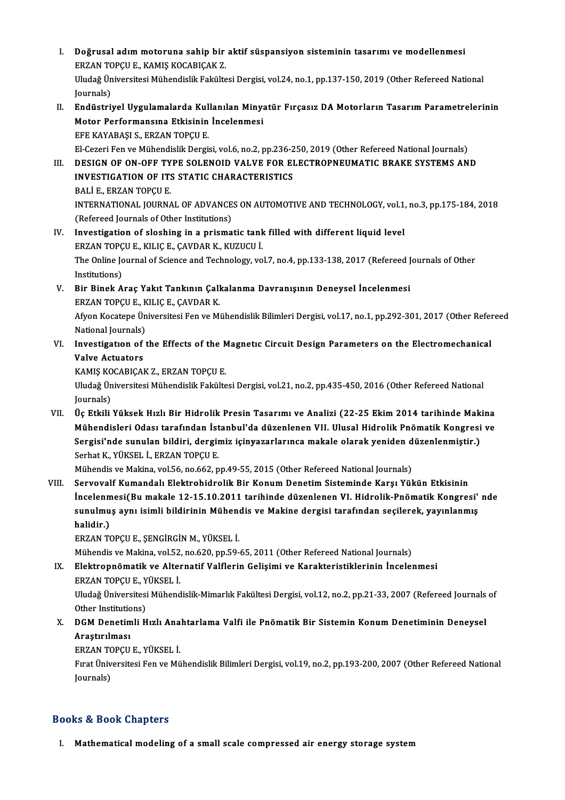- I. Doğrusal adım motoruna sahip bir aktif süspansiyon sisteminin tasarımı ve modellenmesi Doğrusal adım motoruna sahip bir<br>ERZAN TOPÇU E., KAMIŞ KOCABIÇAK Z.<br>Uludeğ Üniversitesi Mühandislik Fakülts Uludağ Üniversitesi Mühendislik Fakültesi Dergisi, vol.24, no.1, pp.137-150, 2019 (Other Refereed National Iournals) ERZAN TC<br>Uludağ Ün<br>Journals)<br>Endüstri Uludağ Üniversitesi Mühendislik Fakültesi Dergisi, vol.24, no.1, pp.137-150, 2019 (Other Refereed National<br>Journals)<br>II. Endüstriyel Uygulamalarda Kullanılan Minyatür Fırçasız DA Motorların Tasarım Parametrelerinin<br>Motor B
- Journals)<br>Endüstriyel Uygulamalarda Kullanılan Minya<br>Motor Performansına Etkisinin İncelenmesi<br>FEF KAYARASI S. FRZAN TORCU F Endüstriyel Uygulamalarda Kul<br>Motor Performansına Etkisinin<br>EFE KAYABAŞI S., ERZAN TOPÇU E.<br>El Cazari Fan ve Mühandislik Dargi Motor Performansına Etkisinin İncelenmesi<br>EFE KAYABAŞI S., ERZAN TOPÇU E.<br>El-Cezeri Fen ve Mühendislik Dergisi, vol.6, no.2, pp.236-250, 2019 (Other Refereed National Journals)<br>DESICN OF ON OFE TVRE SOLENOID VALVE FOR ELEC
- EFE KAYABAŞI S., ERZAN TOPÇU E.<br>El-Cezeri Fen ve Mühendislik Dergisi, vol.6, no.2, pp.236-250, 2019 (Other Refereed National Journals)<br>III. DESIGN OF ON-OFF TYPE SOLENOID VALVE FOR ELECTROPNEUMATIC BRAKE SYSTEMS AND<br>IN El-Cezeri Fen ve Mühendislik Dergisi, vol.6, no.2, pp.236-2<br>DESIGN OF ON-OFF TYPE SOLENOID VALVE FOR EI<br>INVESTIGATION OF ITS STATIC CHARACTERISTICS<br>PALLE, ERZAN TOPCU E BALİ E., ERZAN TOPÇU E. INVESTIGATION OF ITS STATIC CHARACTERISTICS<br>BALİ E., ERZAN TOPÇU E.<br>INTERNATIONAL JOURNAL OF ADVANCES ON AUTOMOTIVE AND TECHNOLOGY, vol.1, no.3, pp.175-184, 2018<br>(Refereed Journals of Other Institutions) BALİ E., ERZAN TOPÇU E.<br>INTERNATIONAL JOURNAL OF ADVANCE<br>(Refereed Journals of Other Institutions)<br>Investigation of slashing in a nrisme INTERNATIONAL JOURNAL OF ADVANCES ON AUTOMOTIVE AND TECHNOLOGY, vol.1.<br>(Refereed Journals of Other Institutions)<br>IV. Investigation of sloshing in a prismatic tank filled with different liquid level<br>FPZAN TOPCU E. KULC E. C
- (Refereed Journals of Other Institutions)<br>Investigation of sloshing in a prismatic tank<br>ERZAN TOPÇU E., KILIÇ E., ÇAVDAR K., KUZUCU İ.<br>The Opline Journal of Science and Technology ve The Online Journal of Science and Technology, vol.7, no.4, pp.133-138, 2017 (Refereed Journals of Other Institutions) ERZAN TOPÇU E., KILIÇ E., ÇAVDAR K., KUZUCU İ. The Online Journal of Science and Technology, vol.7, no.4, pp.133-138, 2017 (Refereed J<br>Institutions)<br>V. Bir Binek Araç Yakıt Tankının Çalkalanma Davranışının Deneysel İncelenmesi<br>ERZAN TORCU E. KU IC E. GAVDAR K
- Institutions)<br>Bir Binek Araç Yakıt Tankının Çall<br>ERZAN TOPÇU E., KILIÇ E., ÇAVDAR K.<br>Afyan Kasatana Üniyansitasi Fan ya M Bir Binek Araç Yakıt Tankının Çalkalanma Davranışının Deneysel İncelenmesi<br>ERZAN TOPÇU E., KILIÇ E., ÇAVDAR K.<br>Afyon Kocatepe Üniversitesi Fen ve Mühendislik Bilimleri Dergisi, vol.17, no.1, pp.292-301, 2017 (Other Referee

ERZAN TOPÇU E., KILIÇ E., ÇAVDAR K.<br>Afyon Kocatepe Üniversitesi Fen ve Mi<br>National Journals) Afyon Kocatepe Üniversitesi Fen ve Mühendislik Bilimleri Dergisi, vol.17, no.1, pp.292-301, 2017 (Other Refer<br>National Journals)<br>VI. Investigation of the Effects of the Magnetic Circuit Design Parameters on the Electromech

### VI. Investigation of the Effects of the Magnetic Circuit Design Parameters on the Electromechanical Valve Actuators Investigation of the Effects of the N<br>Valve Actuators<br>KAMIŞ KOCABIÇAK Z., ERZAN TOPÇU E.<br>Uludağ Üniversitesi Mühandislik Fakülts

Uludağ Üniversitesi Mühendislik Fakültesi Dergisi, vol.21, no.2, pp.435-450, 2016 (Other Refereed National Journals) KAMIŞ KO<br>Uludağ Ün<br>Journals)<br>Üe Etkili Vludağ Üniversitesi Mühendislik Fakültesi Dergisi, vol.21, no.2, pp.435-450, 2016 (Other Refereed National<br>Journals)<br>VII. Üç Etkili Yüksek Hızlı Bir Hidrolik Presin Tasarımı ve Analizi (22-25 Ekim 2014 tarihinde Makina<br>Müh

Journals)<br>Üç Etkili Yüksek Hızlı Bir Hidrolik Presin Tasarımı ve Analizi (22-25 Ekim 2014 tarihinde Makina<br>Mühendisleri Odası tarafından İstanbul'da düzenlenen VII. Ulusal Hidrolik Pnömatik Kongresi ve<br>Sergisi'nde sunulan Üç Etkili Yüksek Hızlı Bir Hidrolik Presin Tasarımı ve Analizi (22-25 Ekim 2014 tarihinde Mak<br>Mühendisleri Odası tarafından İstanbul'da düzenlenen VII. Ulusal Hidrolik Pnömatik Kongresi<br>Sergisi'nde sunulan bildiri, dergimi Mühendisleri Odası tarafından İst<br>Sergisi'nde sunulan bildiri, dergir<br>Serhat K., YÜKSEL İ., ERZAN TOPÇU E.<br>Mühandis ve Makina val 56 na 662 n Sergisi'nde sunulan bildiri, dergimiz içinyazarlarınca makale olarak yeniden d<br>Serhat K., YÜKSEL İ., ERZAN TOPÇU E.<br>Mühendis ve Makina, vol.56, no.662, pp.49-55, 2015 (Other Refereed National Journals)<br>Serveyalf Kumandalı Serhat K., YÜKSEL İ., ERZAN TOPÇU E.<br>Mühendis ve Makina, vol.56, no.662, pp.49-55, 2015 (Other Refereed National Journals)<br>VIII. Servovalf Kumandalı Elektrohidrolik Bir Konum Denetim Sisteminde Karşı Yükün Etkisinin

Mühendis ve Makina, vol.56, no.662, pp.49-55, 2015 (Other Refereed National Journals)<br>Servovalf Kumandalı Elektrohidrolik Bir Konum Denetim Sisteminde Karşı Yükün Etkisinin<br>İncelenmesi(Bu makale 12-15.10.2011 tarihinde düz Servovalf Kumandalı Elektrohidrolik Bir Konum Denetim Sisteminde Karşı Yükün Etkisinin<br>İncelenmesi(Bu makale 12-15.10.2011 tarihinde düzenlenen VI. Hidrolik-Pnömatik Kongresi'<br>sunulmuş aynı isimli bildirinin Mühendis ve Ma İncelenm<br>sunulmu<br>halidir.)<br>EPZAN T( sunulmuş aynı isimli bildirinin Mühendis ve Makine dergisi tarafından seçilerek, yayınlanmış<br>halidir.)<br>ERZAN TOPÇU E., ŞENGİRGİN M., YÜKSEL İ.

Mühendis ve Makina, vol.52, no.620, pp.59-65, 2011 (Other Refereed National Journals)

### ERZAN TOPÇU E., ŞENGİRGİN M., YÜKSEL İ.<br>Mühendis ve Makina, vol.52, no.620, pp.59-65, 2011 (Other Refereed National Journals)<br>IX. Elektropnömatik ve Alternatif Valflerin Gelişimi ve Karakteristiklerinin İncelenmesi<br>EPZ Mühendis ve Makina, vol.52<br><mark>Elektropnömatik ve Alter</mark><br>ERZAN TOPÇU E., YÜKSEL İ.<br>Illudağ Üniversitesi Mühand ERZAN TOPÇU E., YÜKSEL İ.

Uludağ Üniversitesi Mühendislik-Mimarlık Fakültesi Dergisi, vol.12, no.2, pp.21-33, 2007 (Refereed Journals of<br>Other Institutions) Uludağ Üniversitesi Mühendislik-Mimarlık Fakültesi Dergisi, vol.12, no.2, pp.21-33, 2007 (Refereed Journals<br>Other Institutions)<br>X. DGM Denetimli Hızlı Anahtarlama Valfi ile Pnömatik Bir Sistemin Konum Denetiminin Deneysel<br>

# Other Institutio<br>DGM Denetim<br>Araştırılması<br>EPZAN TOPCU DGM Denetimli Hızlı Ana<br>Araştırılması<br>ERZAN TOPÇU E., YÜKSEL İ.<br>Evet Üniversitesi Een ve Mü

ERZAN TOPÇU E., YÜKSEL İ

Araştırılması<br>ERZAN TOPÇU E., YÜKSEL İ.<br>Fırat Üniversitesi Fen ve Mühendislik Bilimleri Dergisi, vol.19, no.2, pp.193-200, 2007 (Other Refereed National<br>Journals)

### Books&Book Chapters

I. Mathematical modeling of a small scale compressed air energy storage system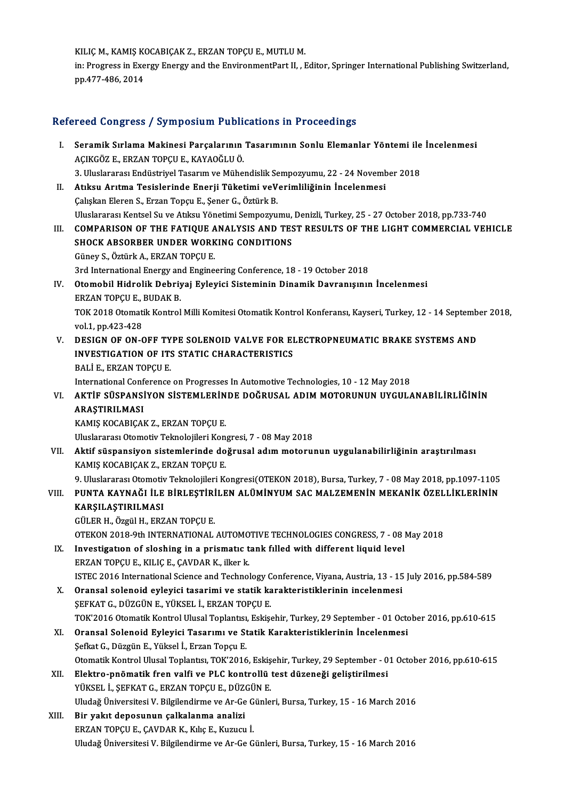KILIÇ M., KAMIŞ KOCABIÇAK Z., ERZAN TOPÇU E., MUTLU M.<br>in: Prograss in Evargy Enargy and the EnvironmentPart II

in: Progress in Exergy Energy and the EnvironmentPart II, , Editor, Springer International Publishing Switzerland, pp.477-486, 2014 KILIÇ M., KAMIŞ KO<br>in: Progress in Exe<br>pp.477-486, 2014

# pp.477-486, 2014<br>Refereed Congress / Symposium Publications in Proceedings

| Refereed Congress / Symposium Publications in Proceedings |                                                                                                                                       |
|-----------------------------------------------------------|---------------------------------------------------------------------------------------------------------------------------------------|
| Ι.                                                        | Seramik Sırlama Makinesi Parçalarının Tasarımının Sonlu Elemanlar Yöntemi ile İncelenmesi<br>AÇIKGÖZ E., ERZAN TOPÇU E., KAYAOĞLU Ö.  |
|                                                           | 3. Uluslararası Endüstriyel Tasarım ve Mühendislik Sempozyumu, 22 - 24 November 2018                                                  |
| П.                                                        | Atıksu Arıtma Tesislerinde Enerji Tüketimi veVerimliliğinin İncelenmesi                                                               |
|                                                           | Çalışkan Eleren S., Erzan Topçu E., Şener G., Öztürk B.                                                                               |
|                                                           | Uluslararası Kentsel Su ve Atıksu Yönetimi Sempozyumu, Denizli, Turkey, 25 - 27 October 2018, pp.733-740                              |
| III.                                                      | COMPARISON OF THE FATIQUE ANALYSIS AND TEST RESULTS OF THE LIGHT COMMERCIAL VEHICLE<br><b>SHOCK ABSORBER UNDER WORKING CONDITIONS</b> |
|                                                           | Güney S., Öztürk A., ERZAN TOPÇU E.                                                                                                   |
|                                                           | 3rd International Energy and Engineering Conference, 18 - 19 October 2018                                                             |
| IV.                                                       | Otomobil Hidrolik Debriyaj Eyleyici Sisteminin Dinamik Davranışının İncelenmesi<br>ERZAN TOPÇU E., BUDAK B.                           |
|                                                           | TOK 2018 Otomatik Kontrol Milli Komitesi Otomatik Kontrol Konferansı, Kayseri, Turkey, 12 - 14 September 2018,<br>vol 1, pp 423-428   |
| V.                                                        | DESIGN OF ON-OFF TYPE SOLENOID VALVE FOR ELECTROPNEUMATIC BRAKE SYSTEMS AND                                                           |
|                                                           | <b>INVESTIGATION OF ITS STATIC CHARACTERISTICS</b>                                                                                    |
|                                                           | BALI E, ERZAN TOPÇU E.                                                                                                                |
|                                                           | International Conference on Progresses In Automotive Technologies, 10 - 12 May 2018                                                   |
| VI.                                                       | AKTIF SÜSPANSIYON SISTEMLERINDE DOĞRUSAL ADIM MOTORUNUN UYGULANABILIRLIĞININ                                                          |
|                                                           | ARAȘTIRILMASI                                                                                                                         |
|                                                           | KAMIŞ KOCABIÇAK Z., ERZAN TOPÇU E.                                                                                                    |
|                                                           | Uluslararası Otomotiv Teknolojileri Kongresi, 7 - 08 May 2018                                                                         |
| VII.                                                      | Aktif süspansiyon sistemlerinde doğrusal adım motorunun uygulanabilirliğinin araştırılması<br>KAMIŞ KOCABIÇAK Z., ERZAN TOPÇU E.      |
|                                                           | 9. Uluslararası Otomotiv Teknolojileri Kongresi(OTEKON 2018), Bursa, Turkey, 7 - 08 May 2018, pp.1097-1105                            |
| VIII.                                                     | PUNTA KAYNAĞI İLE BİRLEŞTİRİLEN ALÜMİNYUM SAC MALZEMENİN MEKANİK ÖZELLİKLERİNİN                                                       |
|                                                           | KARŞILAŞTIRILMASI                                                                                                                     |
|                                                           | GÜLER H., Özgül H., ERZAN TOPÇU E.                                                                                                    |
|                                                           | OTEKON 2018-9th INTERNATIONAL AUTOMOTIVE TECHNOLOGIES CONGRESS, 7 - 08 May 2018                                                       |
| IX.                                                       | Investigation of sloshing in a prismatic tank filled with different liquid level                                                      |
|                                                           | ERZAN TOPÇU E., KILIÇ E., ÇAVDAR K., ilker k.                                                                                         |
|                                                           | ISTEC 2016 International Science and Technology Conference, Viyana, Austria, 13 - 15 July 2016, pp.584-589                            |
| Х.                                                        | Oransal solenoid eyleyici tasarimi ve statik karakteristiklerinin incelenmesi                                                         |
|                                                           | ŞEFKAT G., DÜZGÜN E., YÜKSEL İ., ERZAN TOPÇU E.                                                                                       |
|                                                           | TOK'2016 Otomatik Kontrol Ulusal Toplantısı, Eskişehir, Turkey, 29 September - 01 October 2016, pp.610-615                            |
| XI.                                                       | Oransal Solenoid Eyleyici Tasarımı ve Statik Karakteristiklerinin İncelenmesi                                                         |
|                                                           | Şefkat G., Düzgün E., Yüksel İ., Erzan Topçu E.                                                                                       |
|                                                           | Otomatik Kontrol Ulusal Toplantisi, TOK'2016, Eskişehir, Turkey, 29 September - 01 October 2016, pp.610-615                           |
| XII.                                                      | Elektro-pnömatik fren valfi ve PLC kontrollü test düzeneği geliştirilmesi                                                             |
|                                                           | YÜKSEL İ., ŞEFKAT G., ERZAN TOPÇU E., DÜZGÜN E.                                                                                       |
|                                                           | Uludağ Üniversitesi V. Bilgilendirme ve Ar-Ge Günleri, Bursa, Turkey, 15 - 16 March 2016                                              |
| XIII.                                                     | Bir yakıt deposunun çalkalanma analizi                                                                                                |
|                                                           | ERZAN TOPÇU E., ÇAVDAR K., Kılıç E., Kuzucu İ.                                                                                        |
|                                                           | Uludağ Üniversitesi V. Bilgilendirme ve Ar-Ge Günleri, Bursa, Turkey, 15 - 16 March 2016                                              |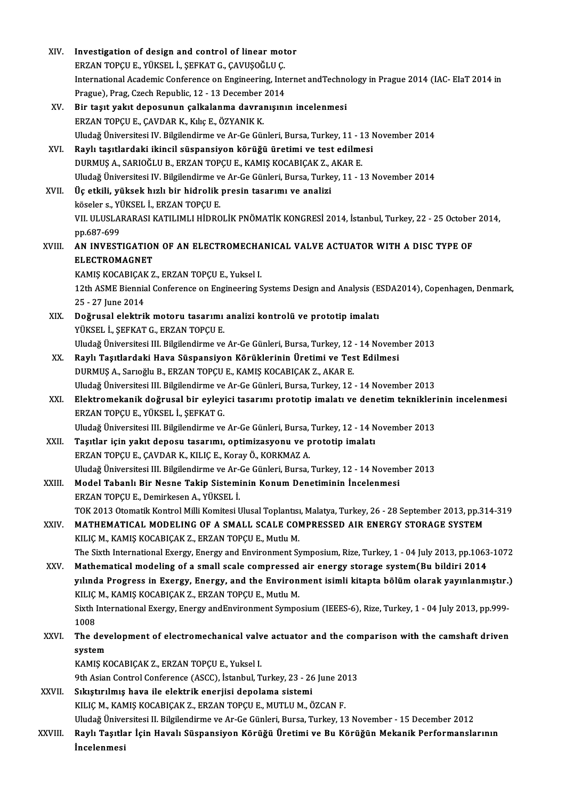| XIV.         | Investigation of design and control of linear motor                                                                                         |
|--------------|---------------------------------------------------------------------------------------------------------------------------------------------|
|              | ERZAN TOPÇU E., YÜKSEL İ., ŞEFKAT G., ÇAVUŞOĞLU Ç.                                                                                          |
|              | International Academic Conference on Engineering, Internet and Technology in Prague 2014 (IAC-ElaT 2014 in                                  |
|              | Prague), Prag, Czech Republic, 12 - 13 December 2014                                                                                        |
| XV.          | Bir taşıt yakıt deposunun çalkalanma davranışının incelenmesi                                                                               |
|              | ERZAN TOPÇU E., ÇAVDAR K., Kılıç E., ÖZYANIK K.                                                                                             |
|              | Uludağ Üniversitesi IV. Bilgilendirme ve Ar-Ge Günleri, Bursa, Turkey, 11 - 13 November 2014                                                |
| XVI.         | Raylı taşıtlardaki ikincil süspansiyon körüğü üretimi ve test edilmesi                                                                      |
|              | DURMUŞ A., SARIOĞLU B., ERZAN TOPÇU E., KAMIŞ KOCABIÇAK Z., AKAR E.                                                                         |
|              | Uludağ Üniversitesi IV. Bilgilendirme ve Ar-Ge Günleri, Bursa, Turkey, 11 - 13 November 2014                                                |
| XVII.        | Üç etkili, yüksek hızlı bir hidrolik presin tasarımı ve analizi                                                                             |
|              | köseler s., YÜKSEL İ., ERZAN TOPÇU E.                                                                                                       |
|              | VII. ULUSLARARASI KATILIMLI HİDROLİK PNÖMATİK KONGRESİ 2014, İstanbul, Turkey, 22 - 25 October 2014,                                        |
|              | pp 687-699                                                                                                                                  |
| XVIII.       | AN INVESTIGATION OF AN ELECTROMECHANICAL VALVE ACTUATOR WITH A DISC TYPE OF                                                                 |
|              | <b>ELECTROMAGNET</b>                                                                                                                        |
|              | KAMIŞ KOCABIÇAK Z., ERZAN TOPÇU E., Yuksel I.                                                                                               |
|              | 12th ASME Biennial Conference on Engineering Systems Design and Analysis (ESDA2014), Copenhagen, Denmark,                                   |
|              | 25 - 27 June 2014                                                                                                                           |
| XIX.         | Doğrusal elektrik motoru tasarımı analizi kontrolü ve prototip imalatı                                                                      |
|              | YÜKSEL İ., ŞEFKAT G., ERZAN TOPÇU E.                                                                                                        |
|              | Uludağ Üniversitesi III. Bilgilendirme ve Ar-Ge Günleri, Bursa, Turkey, 12 - 14 November 2013                                               |
| XX.          | Raylı Taşıtlardaki Hava Süspansiyon Körüklerinin Üretimi ve Test Edilmesi                                                                   |
|              | DURMUŞ A., Sarıoğlu B., ERZAN TOPÇU E., KAMIŞ KOCABIÇAK Z., AKAR E.                                                                         |
|              | Uludağ Üniversitesi III. Bilgilendirme ve Ar-Ge Günleri, Bursa, Turkey, 12 - 14 November 2013                                               |
| XXI.         | Elektromekanik doğrusal bir eyleyici tasarımı prototip imalatı ve denetim tekniklerinin incelenmesi<br>ERZAN TOPÇU E., YÜKSEL İ., ŞEFKAT G. |
|              | Uludağ Üniversitesi III. Bilgilendirme ve Ar-Ge Günleri, Bursa, Turkey, 12 - 14 November 2013                                               |
| XXII.        | Taşıtlar için yakıt deposu tasarımı, optimizasyonu ve prototip imalatı                                                                      |
|              | ERZAN TOPÇU E., ÇAVDAR K., KILIÇ E., Koray Ö., KORKMAZ A.                                                                                   |
|              | Uludağ Üniversitesi III. Bilgilendirme ve Ar-Ge Günleri, Bursa, Turkey, 12 - 14 November 2013                                               |
| XXIII.       | Model Tabanlı Bir Nesne Takip Sisteminin Konum Denetiminin İncelenmesi                                                                      |
|              | ERZAN TOPÇU E., Demirkesen A., YÜKSEL İ.                                                                                                    |
|              | TOK 2013 Otomatik Kontrol Milli Komitesi Ulusal Toplantısı, Malatya, Turkey, 26 - 28 September 2013, pp.314-319                             |
| XXIV.        | MATHEMATICAL MODELING OF A SMALL SCALE COMPRESSED AIR ENERGY STORAGE SYSTEM                                                                 |
|              | KILIÇ M., KAMIŞ KOCABIÇAK Z., ERZAN TOPÇU E., Mutlu M.                                                                                      |
|              | The Sixth International Exergy, Energy and Environment Symposium, Rize, Turkey, 1 - 04 July 2013, pp.1063-1072                              |
| XXV.         | Mathematical modeling of a small scale compressed air energy storage system(Bu bildiri 2014                                                 |
|              | yılında Progress in Exergy, Energy, and the Environment isimli kitapta bölüm olarak yayınlanmıştır.)                                        |
|              | KILIÇ M., KAMIŞ KOCABIÇAK Z., ERZAN TOPÇU E., Mutlu M.                                                                                      |
|              | Sixth International Exergy, Energy and Environment Symposium (IEEES-6), Rize, Turkey, 1 - 04 July 2013, pp.999-                             |
|              | 1008                                                                                                                                        |
| XXVI.        | The development of electromechanical valve actuator and the comparison with the camshaft driven                                             |
|              | system                                                                                                                                      |
|              | KAMIŞ KOCABIÇAK Z., ERZAN TOPÇU E., Yuksel I.                                                                                               |
|              | 9th Asian Control Conference (ASCC), İstanbul, Turkey, 23 - 26 June 2013                                                                    |
| <b>XXVII</b> | Sıkıştırılmış hava ile elektrik enerjisi depolama sistemi                                                                                   |
|              | KILIÇ M., KAMIŞ KOCABIÇAK Z., ERZAN TOPÇU E., MUTLU M., ÖZCAN F.                                                                            |
|              | Uludağ Üniversitesi II. Bilgilendirme ve Ar-Ge Günleri, Bursa, Turkey, 13 November - 15 December 2012                                       |
| XXVIII.      | Raylı Taşıtlar İçin Havalı Süspansiyon Körüğü Üretimi ve Bu Körüğün Mekanik Performanslarının                                               |
|              | <i>incelenmesi</i>                                                                                                                          |
|              |                                                                                                                                             |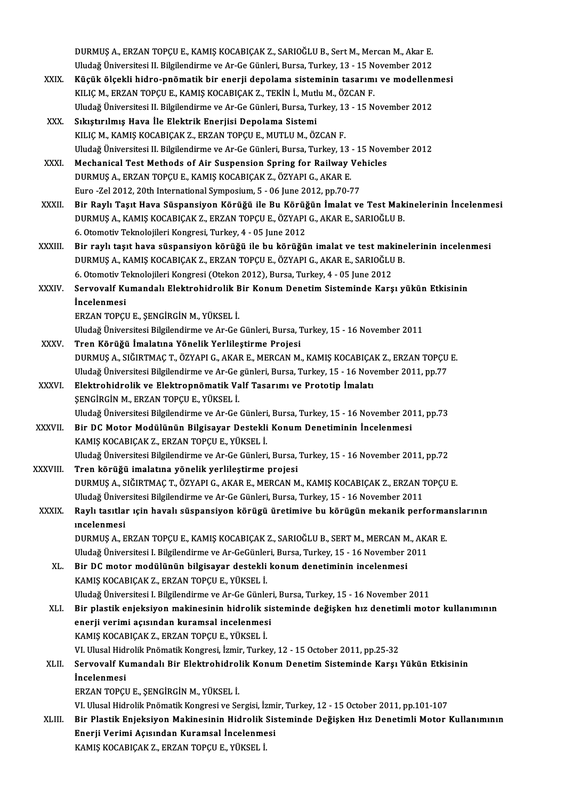DURMUŞ A., ERZAN TOPÇU E., KAMIŞ KOCABIÇAK Z., SARIOĞLU B., Sert M., Mercan M., Akar E. DURMUŞ A., ERZAN TOPÇU E., KAMIŞ KOCABIÇAK Z., SARIOĞLU B., Sert M., Mercan M., Akar E.<br>Uludağ Üniversitesi II. Bilgilendirme ve Ar-Ge Günleri, Bursa, Turkey, 13 - 15 November 2012<br>Küsük öleşkli bidaş, anömetik bir enerii DURMUŞ A., ERZAN TOPÇU E., KAMIŞ KOCABIÇAK Z., SARIOĞLU B., Sert M., Mercan M., Akar E.<br>10 Uludağ Üniversitesi II. Bilgilendirme ve Ar-Ge Günleri, Bursa, Turkey, 13 - 15 November 2012<br>12 XXIX. Küçük ölçekli hidro-pnömatik

- Uludağ Üniversitesi II. Bilgilendirme ve Ar-Ge Günleri, Bursa, Turkey, 13 15 N<br>Küçük ölçekli hidro-pnömatik bir enerji depolama sisteminin tasarım<br>KILIÇ M., ERZAN TOPÇU E., KAMIŞ KOCABIÇAK Z., TEKİN İ., Mutlu M., ÖZCAN F Küçük ölçekli hidro-pnömatik bir enerji depolama sisteminin tasarımı ve modelleni<br>KILIÇ M., ERZAN TOPÇU E., KAMIŞ KOCABIÇAK Z., TEKİN İ., Mutlu M., ÖZCAN F.<br>Uludağ Üniversitesi II. Bilgilendirme ve Ar-Ge Günleri, Bursa, Tu KILIÇ M., ERZAN TOPÇU E., KAMIŞ KOCABIÇAK Z., TEKİN İ., Mutlu M., ÖZCAN F.<br>Uludağ Üniversitesi II. Bilgilendirme ve Ar-Ge Günleri, Bursa, Turkey, 13 - 15 November 2012<br>XXX. Sıkıştırılmış Hava İle Elektrik Enerjisi Depolama
- KILIÇ M., KAMIŞ KOCABIÇAK Z., ERZAN TOPÇU E., MUTLU M., ÖZCAN F. Uludağ Üniversitesi II. Bilgilendirme ve Ar-Ge Günleri, Bursa, Turkey, 13 - 15 November 2012 KILIÇ M., KAMIŞ KOCABIÇAK Z., ERZAN TOPÇU E., MUTLU M., ÖZCAN F.<br>Uludağ Üniversitesi II. Bilgilendirme ve Ar-Ge Günleri, Bursa, Turkey, 13 - 15 Nove<br>XXXI. Mechanical Test Methods of Air Suspension Spring for Railway Vehicl
- Uludağ Üniversitesi II. Bilgilendirme ve Ar-Ge Günleri, Bursa, Turkey, 13<br>Mechanical Test Methods of Air Suspension Spring for Railway<br>DURMUŞ A., ERZAN TOPÇU E., KAMIŞ KOCABIÇAK Z., ÖZYAPI G., AKAR E.<br>Euro, Zel 2012, 20th Mechanical Test Methods of Air Suspension Spring for Railway Ve<br>DURMUŞ A., ERZAN TOPÇU E., KAMIŞ KOCABIÇAK Z., ÖZYAPI G., AKAR E.<br>Euro -Zel 2012, 20th International Symposium, 5 - 06 June 2012, pp.70-77<br>Bir Boylı Tosıt Hoy DURMUŞ A., ERZAN TOPÇU E., KAMIŞ KOCABIÇAK Z., ÖZYAPI G., AKAR E.<br>Euro -Zel 2012, 20th International Symposium, 5 - 06 June 2012, pp.70-77<br>XXXII. Bir Raylı Taşıt Hava Süspansiyon Körüğü ile Bu Körüğün İmalat ve Test Ma
- DURMUŞA.,KAMIŞKOCABIÇAKZ.,ERZANTOPÇUE.,ÖZYAPIG.,AKARE.,SARIOĞLUB. 6.OtomotivTeknolojileriKongresi,Turkey,4 -05 June 2012 DURMUŞ A., KAMIŞ KOCABIÇAK Z., ERZAN TOPÇU E., ÖZYAPI G., AKAR E., SARIOĞLU B.<br>6. Otomotiv Teknolojileri Kongresi, Turkey, 4 - 05 June 2012<br>XXXIII. Bir raylı taşıt hava süspansiyon körüğü ile bu körüğün imalat ve test maki
- 6. Otomotiv Teknolojileri Kongresi, Turkey, 4 05 June 2012<br>Bir raylı taşıt hava süspansiyon körüğü ile bu körüğün imalat ve test makine<br>DURMUŞ A., KAMIŞ KOCABIÇAK Z., ERZAN TOPÇU E., ÖZYAPI G., AKAR E., SARIOĞLU B.<br>6. Ot Bir raylı taşıt hava süspansiyon körüğü ile bu körüğün imalat ve test mak<br>DURMUŞ A., KAMIŞ KOCABIÇAK Z., ERZAN TOPÇU E., ÖZYAPI G., AKAR E., SARIOĞLU<br>6. Otomotiv Teknolojileri Kongresi (Otekon 2012), Bursa, Turkey, 4 - 05 DURMUŞ A., KAMIŞ KOCABIÇAK Z., ERZAN TOPÇU E., ÖZYAPI G., AKAR E., SARIOĞLU B.<br>6. Otomotiv Teknolojileri Kongresi (Otekon 2012), Bursa, Turkey, 4 - 05 June 2012<br>XXXIV. Servovalf Kumandalı Elektrohidrolik Bir Konum Dene 6. Otomotiv Teknolojileri Kongresi (Otekon 2012), Bursa, Turkey, 4 - 05 June 2012
- İncelenmesi<br>ERZAN TOPÇU E., ŞENGİRGİN M., YÜKSEL İ.<br>Uludağ Üniversitesi Bilgilendirme ve Ar-Ge Günleri, Bursa, Turkey, 15 16 November 2011<br>Tren Körüğü, İmalatına Yönelik Yarlilestirme Prejesi
	- ERZANTOPÇUE.,ŞENGİRGİNM.,YÜKSEL İ.

- ERZAN TOPÇU E., ŞENGİRGİN M., YÜKSEL İ.<br>Uludağ Üniversitesi Bilgilendirme ve Ar-Ge Günleri, Bursa, 1<br>XXXV. Tren Körüğü İmalatına Yönelik Yerlileştirme Projesi<br>DUPMUS A SIČIPTMACT, ÖZYABLC AKAR E MERCAN M Uludağ Üniversitesi Bilgilendirme ve Ar-Ge Günleri, Bursa, Turkey, 15 - 16 November 2011<br>Tren Körüğü İmalatına Yönelik Yerlileştirme Projesi<br>DURMUŞ A., SIĞIRTMAÇ T., ÖZYAPI G., AKAR E., MERCAN M., KAMIŞ KOCABIÇAK Z., ERZAN Tren Körüğü İmalatına Yönelik Yerlileştirme Projesi<br>DURMUŞ A., SIĞIRTMAÇ T., ÖZYAPI G., AKAR E., MERCAN M., KAMIŞ KOCABIÇAK Z., ERZAN TOPÇU<br>Uludağ Üniversitesi Bilgilendirme ve Ar-Ge günleri, Bursa, Turkey, 15 - 16 Novembe DURMUŞ A., SIĞIRTMAÇ T., ÖZYAPI G., AKAR E., MERCAN M., KAMIŞ KOCABIÇA<br>Uludağ Üniversitesi Bilgilendirme ve Ar-Ge günleri, Bursa, Turkey, 15 - 16 Nov<br>XXXVI. Elektrohidrolik ve Elektropnömatik Valf Tasarımı ve Prototip İmal
- Uludağ Üniversitesi Bilgilendirme ve Ar-Ge<br>Elektrohidrolik ve Elektropnömatik Va<br>ŞENGİRGİN M., ERZAN TOPÇU E., YÜKSEL İ.<br>Uludağ Üniversitesi Bilgilandirme ve Ar Ga ŞENGİRGİN M., ERZAN TOPÇU E., YÜKSEL İ.<br>Uludağ Üniversitesi Bilgilendirme ve Ar-Ge Günleri, Bursa, Turkey, 15 - 16 November 2011, pp.73
- XXXVII. Bir DC Motor Modülünün Bilgisayar Destekli Konum Denetiminin İncelenmesi Uludağ Üniversitesi Bilgilendirme ve Ar-Ge Günleri<br>Bir DC Motor Modülünün Bilgisayar Destekli<br>KAMIŞ KOCABIÇAK Z., ERZAN TOPÇU E., YÜKSEL İ.<br>Uludağ Üniversitesi Bilgilandirme ve Ar Ge Günleri KAMIŞ KOCABIÇAK Z., ERZAN TOPÇU E., YÜKSEL İ.<br>Uludağ Üniversitesi Bilgilendirme ve Ar-Ge Günleri, Bursa,<br>XXXVIII. Tren körüğü imalatına yönelik yerlileştirme projesi<br>DUPMIS A. SIČIPTMAC T. ÖZYABI C. AKAR E. MERCAN M
- Uludağ Üniversitesi Bilgilendirme ve Ar-Ge Günleri, Bursa, Turkey, 15 16 November 2011, pp.72<br>Tren körüğü imalatına yönelik yerlilestirme projesi Uludağ Üniversitesi Bilgilendirme ve Ar-Ge Günleri, Bursa, Turkey, 15 - 16 November 2011, pp.72<br>Tren körüğü imalatına yönelik yerlileştirme projesi<br>DURMUŞ A., SIĞIRTMAÇ T., ÖZYAPI G., AKAR E., MERCAN M., KAMIŞ KOCABIÇAK Z. Tren körüğü imalatına yönelik yerlileştirme projesi<br>DURMUŞ A., SIĞIRTMAÇ T., ÖZYAPI G., AKAR E., MERCAN M., KAMIŞ KOCABIÇAK Z., ERZAN 1<br>Uludağ Üniversitesi Bilgilendirme ve Ar-Ge Günleri, Bursa, Turkey, 15 - 16 November 20 DURMUŞ A., SIĞIRTMAÇ T., ÖZYAPI G., AKAR E., MERCAN M., KAMIŞ KOCABIÇAK Z., ERZAN TOPÇU E.<br>Uludağ Üniversitesi Bilgilendirme ve Ar-Ge Günleri, Bursa, Turkey, 15 - 16 November 2011<br>XXXIX. Raylı tasıtlar ıçin havalı süsp

# Uludağ Üniversitesi Bilgilendirme ve Ar-Ge Günleri, Bursa, Turkey, 15 - 16 November 2011<br>Raylı tasıtlar ıçin havalı süspansiyon körügü üretimive bu körügün mekanik per<br>Incelenmesi Raylı tasıtlar ıçin havalı süspansiyon körügü üretimive bu körügün mekanik performa<br>incelenmesi<br>DURMUŞ A., ERZAN TOPÇU E., KAMIŞ KOCABIÇAK Z., SARIOĞLU B., SERT M., MERCAN M., AKAR E.<br>Uludağ Üniversitesi L.Bilgilandirme ve

- DURMUŞ A., ERZAN TOPÇU E., KAMIŞ KOCABIÇAK Z., SARIOĞLU B., SERT M., MERCAN M., AKAR E.<br>Uludağ Üniversitesi I. Bilgilendirme ve Ar-GeGünleri, Bursa, Turkey, 15 16 November 2011
- DURMUŞ A., ERZAN TOPÇU E., KAMIŞ KOCABIÇAK Z., SARIOĞLU B., SERT M., MERCAN M<br>Uludağ Üniversitesi I. Bilgilendirme ve Ar-GeGünleri, Bursa, Turkey, 15 16 November 2<br>XL. Bir DC motor modülünün bilgisayar destekli konum den Uludağ Üniversitesi I. Bilgilendirme ve Ar-GeGünlen<br>Bir DC motor modülünün bilgisayar destekli<br>KAMIŞ KOCABIÇAK Z., ERZAN TOPÇU E., YÜKSEL İ.<br>Uludağ Üniversitesi I. Bilgilandirma ve Ar Ce Günle Bir DC motor modülünün bilgisayar destekli konum denetiminin incelenmesi<br>KAMIŞ KOCABIÇAK Z., ERZAN TOPÇU E., YÜKSEL İ.<br>Uludağ Üniversitesi I. Bilgilendirme ve Ar-Ge Günleri, Bursa, Turkey, 15 - 16 November 2011<br>Bir plastik
- KAMIŞ KOCABIÇAK Z., ERZAN TOPÇU E., YÜKSEL İ.<br>Uludağ Üniversitesi I. Bilgilendirme ve Ar-Ge Günleri, Bursa, Turkey, 15 16 November 2011<br>XLI. Bir plastik enjeksiyon makinesinin hidrolik sisteminde değişken hız denetim Uludağ Üniversitesi I. Bilgilendirme ve Ar-Ge Günler<br>Bir plastik enjeksiyon makinesinin hidrolik si:<br>enerji verimi açısından kuramsal incelenmesi<br>KAMIS KOCARICAK 7, ERZAN TORCU E, VÜKSEL İ Bir plastik enjeksiyon makinesinin hidrolik s<br>enerji verimi açısından kuramsal incelenmes<br>KAMIŞ KOCABIÇAK Z., ERZAN TOPÇU E., YÜKSEL İ.<br>VI Ulusel Hidrolik Pnömetik Kongresi, İzmir Turks enerji verimi açısından kuramsal incelenmesi<br>KAMIŞ KOCABIÇAK Z., ERZAN TOPÇU E., YÜKSEL İ.<br>VI. Ulusal Hidrolik Pnömatik Kongresi, İzmir, Turkey, 12 - 15 October 2011, pp.25-32<br>Serveyalf Kumandalı Bir Flaktrobidrolik Konum
- KAMIŞ KOCABIÇAK Z., ERZAN TOPÇU E., YÜKSEL İ.<br>VI. Ulusal Hidrolik Pnömatik Kongresi, İzmir, Turkey, 12 15 October 2011, pp.25-32<br>XLII. Servovalf Kumandalı Bir Elektrohidrolik Konum Denetim Sisteminde Karşı Yükün Etki VI. Ulusal Hidi<br>Servovalf Ku<br>İncelenmesi<br>EPZAN TOPCI
	- ERZANTOPÇUE.,ŞENGİRGİNM.,YÜKSEL İ.

```
İncelenmesi<br>ERZAN TOPÇU E., ŞENGİRGİN M., YÜKSEL İ.<br>VI. Ulusal Hidrolik Pnömatik Kongresi ve Sergisi, İzmir, Turkey, 12 - 15 October 2011, pp.101-107<br>Pir Plastik Eniaksiyan Makinesinin Hidrolik Sisteminde Dežiskan Hız Dens
```
ERZAN TOPÇU E., ŞENGİRGİN M., YÜKSEL İ.<br>VI. Ulusal Hidrolik Pnömatik Kongresi ve Sergisi, İzmir, Turkey, 12 - 15 October 2011, pp.101-107<br>XLIII. Bir Plastik Enjeksiyon Makinesinin Hidrolik Sisteminde Değişken Hız Denetimli VI. Ulusal Hidrolik Pnömatik Kongresi ve Sergisi, İzmi<br>Bir Plastik Enjeksiyon Makinesinin Hidrolik Sis<br>Enerji Verimi Açısından Kuramsal İncelenmesi<br>KAME KOCARICAK 7, ERZAN TORCU E, VÜKERLİ Bir Plastik Enjeksiyon Makinesinin Hidrolik Sisteminde Değişken Hız Denetimli Motor Kullanımının<br>Enerji Verimi Açısından Kuramsal İncelenmesi<br>KAMIŞ KOCABIÇAK Z., ERZAN TOPÇU E., YÜKSEL İ.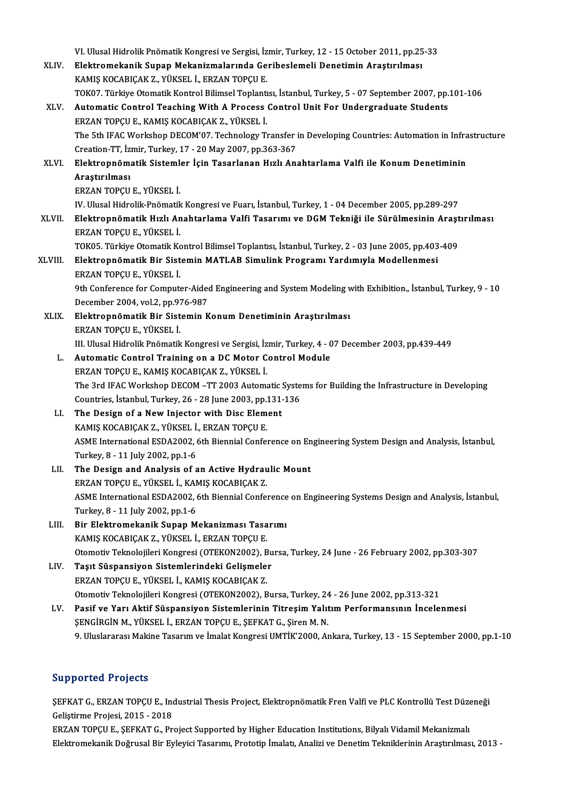VI. Ulusal Hidrolik Pnömatik Kongresi ve Sergisi, İzmir, Turkey, 12 - 15 October 2011, pp.25-33<br>Flaktromakanik Sunan Makanismalarında Caribaalamali Danatimin Anastırılması

- VI. Ulusal Hidrolik Pnömatik Kongresi ve Sergisi, İzmir, Turkey, 12 15 October 2011, pp.25<br>XLIV. Elektromekanik Supap Mekanizmalarında Geribeslemeli Denetimin Araştırılması VI. Ulusal Hidrolik Pnömatik Kongresi ve Sergisi, İz<br><mark>Elektromekanik Supap Mekanizmalarında Ge</mark><br>KAMIŞ KOCABIÇAK Z., YÜKSEL İ., ERZAN TOPÇU E.<br>TOKOZ. Türkiye Otematik Kentrel Bilimsel Tenlenti Elektromekanik Supap Mekanizmalarında Geribeslemeli Denetimin Araştırılması<br>KAMIŞ KOCABIÇAK Z., YÜKSEL İ., ERZAN TOPÇU E.<br>TOK07. Türkiye Otomatik Kontrol Bilimsel Toplantısı, İstanbul, Turkey, 5 - 07 September 2007, pp.101
- XLV. Automatic Control TeachingWith A Process Control Unit For Undergraduate Students ERZANTOPÇUE.,KAMIŞKOCABIÇAKZ.,YÜKSEL İ. Automatic Control Teaching With A Process Control Unit For Undergraduate Students<br>ERZAN TOPÇU E., KAMIŞ KOCABIÇAK Z., YÜKSEL İ.<br>The 5th IFAC Workshop DECOM'07. Technology Transfer in Developing Countries: Automation in Inf ERZAN TOPÇU E., KAMIŞ KOCABIÇAK Z., YÜKSEL İ.<br>The 5th IFAC Workshop DECOM'07. Technology Transfer<br>Creation-TT, İzmir, Turkey, 17 - 20 May 2007, pp.363-367<br>Flektronpömetik Sistemler İsin Tesarlanan Hızlı Apı The 5th IFAC Workshop DECOM'07. Technology Transfer in Developing Countries: Automation in Infra<br>Creation-TT, İzmir, Turkey, 17 - 20 May 2007, pp.363-367<br>XLVI. Elektropnömatik Sistemler İçin Tasarlanan Hızlı Anahtarlama Va

Creation-TT, İz<mark>:</mark><br>Elektropnöm:<br>Araştırılması<br>EPZAN TOPCU <mark>Elektropnömatik Sisteml</mark><br>Araştırılması<br>ERZAN TOPÇU E., YÜKSEL İ.<br>IV. Ulusel Hidrolik Pnömatik Araştırılması<br>ERZAN TOPÇU E., YÜKSEL İ.<br>IV. Ulusal Hidrolik-Pnömatik Kongresi ve Fuarı, İstanbul, Turkey, 1 - 04 December 2005, pp.289-297

XLVI . Elektropnömatik Hızlı Anahtarlama Valfi Tasarımı ve DGMTekniği ile Sürülmesinin Araştırılması IV. Ulusal Hidrolik-Pnömatik<br><mark>Elektropnömatik Hızlı An</mark><br>ERZAN TOPÇU E., YÜKSEL İ.<br>TOKOE. Türkiye Otematik Ke Elektropnömatik Hızlı Anahtarlama Valfi Tasarımı ve DGM Tekniği ile Sürülmesinin Araşt<br>ERZAN TOPÇU E., YÜKSEL İ.<br>TOK05. Türkiye Otomatik Kontrol Bilimsel Toplantısı, İstanbul, Turkey, 2 - 03 June 2005, pp.403-409<br>Elektropn

## ERZAN TOPÇU E., YÜKSEL İ.<br>TOKO5. Türkiye Otomatik Kontrol Bilimsel Toplantısı, İstanbul, Turkey, 2 - 03 June 2005, pp.403<br>XLVIII. Elektropnömatik Bir Sistemin MATLAB Simulink Programı Yardımıyla Modellenmesi<br>EPZAN TOPC TOK05. Türkiye Otomatik Ko<br>Elektropnömatik Bir Sist<br>ERZAN TOPÇU E., YÜKSEL İ.<br><sup>Oth</sup> Conference for Comput Elektropnömatik Bir Sistemin MATLAB Simulink Programı Yardımıyla Modellenmesi<br>ERZAN TOPÇU E., YÜKSEL İ.<br>9th Conference for Computer-Aided Engineering and System Modeling with Exhibition., İstanbul, Turkey, 9 - 10<br>Desember

ERZAN TOPÇU E., YÜKSEL İ.<br>9th Conference for Computer-Aide<br>December 2004, vol.2, pp.976-987<br>Elektronnömetik Bin Sistemin K 9th Conference for Computer-Aided Engineering and System Modeling v<br>December 2004, vol.2, pp.976-987<br>XLIX. Elektropnömatik Bir Sistemin Konum Denetiminin Araştırılması

December 2004, vol.2, pp.97<br><mark>Elektropnömatik Bir Sist</mark><br>ERZAN TOPÇU E., YÜKSEL İ.<br>III Illusal Hidrolik Pnömatik ERZAN TOPÇU E., YÜKSEL İ.<br>III. Ulusal Hidrolik Pnömatik Kongresi ve Sergisi, İzmir, Turkey, 4 - 07 December 2003, pp.439-449 ERZAN TOPÇU E., YÜKSEL İ.<br>III. Ulusal Hidrolik Pnömatik Kongresi ve Sergisi, İzmir, Turkey, 4 - 0<br>L. Automatic Control Training on a DC Motor Control Module<br>ERZAN TOPCU E. KAMIS KOCARICAK Z. YÜKSEL İ.

- III. Ulusal Hidrolik Pnömatik Kongresi ve Sergisi, İz<br><mark>Automatic Control Training on a DC Motor C</mark><br>ERZAN TOPÇU E., KAMIŞ KOCABIÇAK Z., YÜKSEL İ.<br>The <sup>2</sup>rd IEAC Workshop DECOM TT 2002 Autome Automatic Control Training on a DC Motor Control Module<br>ERZAN TOPÇU E., KAMIŞ KOCABIÇAK Z., YÜKSEL İ.<br>The 3rd IFAC Workshop DECOM –TT 2003 Automatic Systems for Building the Infrastructure in Developing<br>Countries, Istanbul ERZAN TOPÇU E., KAMIŞ KOCABIÇAK Z., YÜKSEL İ.<br>The 3rd IFAC Workshop DECOM –TT 2003 Automatic Syste<br>Countries, İstanbul, Turkey, 26 - 28 June 2003, pp.131-136<br>The Design of a Now Injector with Disc Element The 3rd IFAC Workshop DECOM –TT 2003 Automatic :<br>Countries, İstanbul, Turkey, 26 - 28 June 2003, pp.131-<br>LI. The Design of a New Injector with Disc Element<br>KAMIS KOCARICAK 7 - VÜKSEL İ. ERZAN TORCU E
- Countries, İstanbul, Turkey, 26 28 June 2003, pp.131-136<br>LI. The Design of a New Injector with Disc Element<br>KAMIŞ KOCABIÇAK Z., YÜKSEL İ., ERZAN TOPÇU E. The Design of a New Injector with Disc Element<br>KAMIŞ KOCABIÇAK Z., YÜKSEL İ., ERZAN TOPÇU E.<br>ASME International ESDA2002, 6th Biennial Conference on Engineering System Design and Analysis, İstanbul,<br>Turkay 8, .11 July 2002 KAMIŞ KOCABIÇAK Z., YÜKSEL İ.<br>ASME International ESDA2002, (Turkey, 8 - 11 July 2002, pp.1-6<br>The Design and Analysis of a ASME International ESDA2002, 6th Biennial Conference on En<br>Turkey, 8 - 11 July 2002, pp.1-6<br>LII. The Design and Analysis of an Active Hydraulic Mount<br>ERZAN TOPCUE VÜKSEL L KAMIS KOGARIGAK Z
- Turkey, 8 11 July 2002, pp.1-6<br>The Design and Analysis of an Active Hydraulic Mount<br>ERZAN TOPÇU E., YÜKSEL İ., KAMIŞ KOCABIÇAK Z. The Design and Analysis of an Active Hydraulic Mount<br>ERZAN TOPÇU E., YÜKSEL İ., KAMIŞ KOCABIÇAK Z.<br>ASME International ESDA2002, 6th Biennial Conference on Engineering Systems Design and Analysis, İstanbul,<br>Turkay 8, .11 Ju ERZAN TOPÇU E., YÜKSEL İ., KAN<br>ASME International ESDA2002, (<br>Turkey, 8 - 11 July 2002, pp.1-6<br>Bir Elektromakanik Supen M ASME International ESDA2002, 6th Biennial Conference<br>Turkey, 8 - 11 July 2002, pp.1-6<br>LIII. Bir Elektromekanik Supap Mekanizması Tasarımı<br>KAMIS KOCABICAK 7. VÜKSEL İ. EPZAN TOPCU E
- Turkey, 8 11 July 2002, pp.1-6<br>LIII. Bir Elektromekanik Supap Mekanizması Tasarımı<br>KAMIŞ KOCABIÇAK Z., YÜKSEL İ., ERZAN TOPÇU E. Otomotiv Teknolojileri Kongresi (OTEKON2002), Bursa, Turkey, 24 June - 26 February 2002, pp.303-307 KAMIŞ KOCABIÇAK Z., YÜKSEL İ., ERZAN TOPÇU E.<br>Otomotiv Teknolojileri Kongresi (OTEKON2002), Bu<br>LIV. Taşıt Süspansiyon Sistemlerindeki Gelişmeler<br>ERZAN TOPÇU E. VÜKSEL İ. KAMIS KOCABICAK Z
- Otomotiv Teknolojileri Kongresi (OTEKON2002), B<br>Taşıt Süspansiyon Sistemlerindeki Gelişmele:<br>ERZAN TOPÇU E., YÜKSEL İ., KAMIŞ KOCABIÇAK Z.<br>Otomotiv Teknolojileri Kongresi (OTEKON2002), B ERZAN TOPÇU E., YÜKSEL İ., KAMIŞ KOCABIÇAK Z.<br>Otomotiv Teknolojileri Kongresi (OTEKON2002), Bursa, Turkey, 24 - 26 June 2002, pp.313-321 ERZAN TOPÇU E., YÜKSEL İ., KAMIŞ KOCABIÇAK Z.<br>Otomotiv Teknolojileri Kongresi (OTEKON2002), Bursa, Turkey, 24 - 26 June 2002, pp.313-321<br>LV. Pasif ve Yarı Aktif Süspansiyon Sistemlerinin Titreşim Yalıtım Performansının İnc
- Otomotiv Teknolojileri Kongresi (OTEKON2002), Bursa, Turkey, 24<br>Pasif ve Yarı Aktif Süspansiyon Sistemlerinin Titreşim Yalıt<br>ŞENGİRGİN M., YÜKSEL İ., ERZAN TOPÇU E., ŞEFKAT G., Şiren M. N.<br>9. Uluslararesi Makine Tasarım ve 9. ŞENGİRGİN M., YÜKSEL İ., ERZAN TOPÇU E., ŞEFKAT G., Şiren M. N.<br>9. Uluslararası Makine Tasarım ve İmalat Kongresi UMTİK'2000, Ankara, Turkey, 13 - 15 September 2000, pp.1-10

### Supported Projects

Supported Projects<br>ŞEFKAT G., ERZAN TOPÇU E., Industrial Thesis Project, Elektropnömatik Fren Valfi ve PLC Kontrollü Test Düzeneği<br>Celistinme Projesi 2015 - 2019 Supported Trojects<br>SEFKAT G., ERZAN TOPÇU E., Inc<br>Geliştirme Projesi, 2015 - 2018<br>EPZAN TOPCU E. SEEKAT G., Pr ŞEFKAT G., ERZAN TOPÇU E., Industrial Thesis Project, Elektropnömatik Fren Valfi ve PLC Kontrollü Test Düze<br>Geliştirme Projesi, 2015 - 2018<br>ERZAN TOPÇU E., ŞEFKAT G., Project Supported by Higher Education Institutions, Bil

Geliştirme Projesi, 2015 - 2018<br>ERZAN TOPÇU E., ŞEFKAT G., Project Supported by Higher Education Institutions, Bilyalı Vidamil Mekanizmalı<br>Elektromekanik Doğrusal Bir Eyleyici Tasarımı, Prototip İmalatı, Analizi ve Denetim